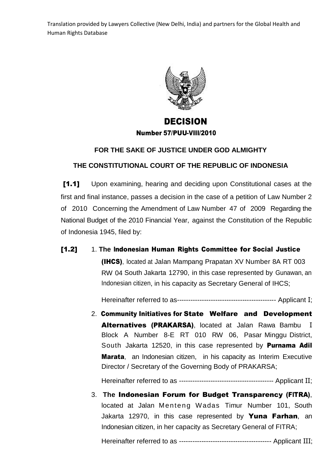

## DECISION Number 57/PUU-VIII/2010

## **FOR THE SAKE OF JUSTICE UNDER GOD ALMIGHTY**

## **THE CONSTITUTIONAL COURT OF THE REPUBLIC OF INDONESIA**

[1.1] Upon examining, hearing and deciding upon Constitutional cases at the first and final instance, passes a decision in the case of a petition of Law Number 2 of 2010 Concerning the Amendment of Law Number 47 of 2009 Regarding the National Budget of the 2010 Financial Year, against the Constitution of the Republic of Indonesia 1945, filed by:

[1.2] 1. **The** Indonesian Human Rights Committee for Social Justice (IHCS), located at Jalan Mampang Prapatan XV Number 8A RT 003 RW 04 South Jakarta 12790, in this case represented by Gunawan, an Indonesian citizen, in his capacity as Secretary General of IHCS;

Hereinafter referred to as-------------------------------------------- Applicant I;

2. Community Initiatives for State Welfare and Development Alternatives (PRAKARSA), located at Jalan Rawa Bambu I Block A Number 8-E RT 010 RW 06, Pasar Minggu District, South Jakarta 12520, in this case represented by **Purnama Adil** Marata, an Indonesian citizen, in his capacity as Interim Executive Director / Secretary of the Governing Body of PRAKARSA;

Hereinafter referred to as ------------------------------------------ Applicant II;

3. **The** Indonesian Forum for Budget Transparency (FITRA), located at Jalan Menteng Wadas Timur Number 101, South Jakarta 12970, in this case represented by **Yuna Farhan**, an Indonesian citizen, in her capacity as Secretary General of FITRA;

Hereinafter referred to as ----------------------------------------- Applicant III;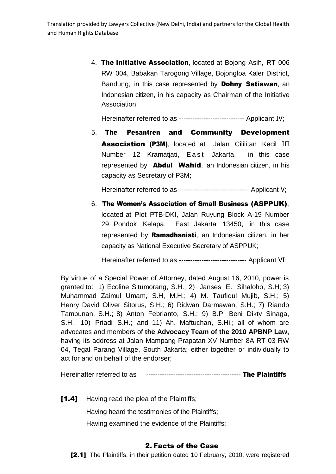4. The Initiative Association, located at Bojong Asih, RT 006 RW 004, Babakan Tarogong Village, Bojongloa Kaler District, Bandung, in this case represented by **Dohny Setiawan**, an Indonesian citizen, in his capacity as Chairman of the Initiative Association;

Hereinafter referred to as ----------------------------- Applicant IV;

5. The Pesantren and Community Development Association (P3M), located at Jalan Cililitan Kecil III Number 12 Kramatjati, East Jakarta, in this case represented by **Abdul Wahid**, an Indonesian citizen, in his capacity as Secretary of P3M;

Hereinafter referred to as ------------------------------- Applicant V;

6. The Women's Association of Small Business (ASPPUK), located at Plot PTB-DKI, Jalan Ruyung Block A-19 Number 29 Pondok Kelapa, East Jakarta 13450, in this case represented by **Ramadhaniati**, an Indonesian citizen, in her capacity as National Executive Secretary of ASPPUK;

Hereinafter referred to as ------------------------------ Applicant VI;

By virtue of a Special Power of Attorney, dated August 16, 2010, power is granted to: 1) Ecoline Situmorang, S.H.; 2) Janses E. Sihaloho, S.H; 3) Muhammad Zaimul Umam, S.H, M.H.; 4) M. Taufiqul Mujib, S.H.; 5) Henry David Oliver Sitorus, S.H.; 6) Ridwan Darmawan, S.H.; 7) Riando Tambunan, S.H.; 8) Anton Febrianto, S.H.; 9) B.P. Beni Dikty Sinaga, S.H.; 10) Priadi S.H.; and 11) Ah. Maftuchan, S.Hi.; all of whom are advocates and members of **the Advocacy Team of the 2010 APBNP Law,** having its address at Jalan Mampang Prapatan XV Number 8A RT 03 RW 04, Tegal Parang Village, South Jakarta; either together or individually to act for and on behalf of the endorser;

Hereinafter referred to as ------------------------------------------ The Plaintiffs

[1.4] Having read the plea of the Plaintiffs;

Having heard the testimonies of the Plaintiffs;

Having examined the evidence of the Plaintiffs;

### 2. Facts of the Case

[2.1] The Plaintiffs, in their petition dated 10 February, 2010, were registered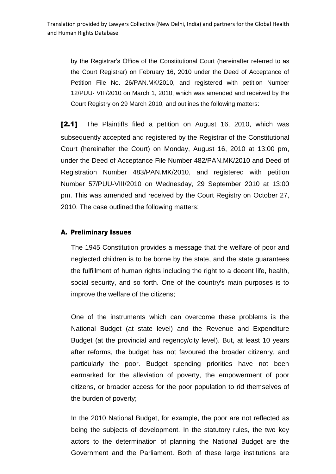by the Registrar's Office of the Constitutional Court (hereinafter referred to as the Court Registrar) on February 16, 2010 under the Deed of Acceptance of Petition File No. 26/PAN.MK/2010, and registered with petition Number 12/PUU- VIII/2010 on March 1, 2010, which was amended and received by the Court Registry on 29 March 2010, and outlines the following matters:

[2.1] The Plaintiffs filed a petition on August 16, 2010, which was subsequently accepted and registered by the Registrar of the Constitutional Court (hereinafter the Court) on Monday, August 16, 2010 at 13:00 pm, under the Deed of Acceptance File Number 482/PAN.MK/2010 and Deed of Registration Number 483/PAN.MK/2010, and registered with petition Number 57/PUU-VIII/2010 on Wednesday, 29 September 2010 at 13:00 pm. This was amended and received by the Court Registry on October 27, 2010. The case outlined the following matters:

### A. Preliminary Issues

The 1945 Constitution provides a message that the welfare of poor and neglected children is to be borne by the state, and the state guarantees the fulfillment of human rights including the right to a decent life, health, social security, and so forth. One of the country's main purposes is to improve the welfare of the citizens;

One of the instruments which can overcome these problems is the National Budget (at state level) and the Revenue and Expenditure Budget (at the provincial and regency/city level). But, at least 10 years after reforms, the budget has not favoured the broader citizenry, and particularly the poor. Budget spending priorities have not been earmarked for the alleviation of poverty, the empowerment of poor citizens, or broader access for the poor population to rid themselves of the burden of poverty;

In the 2010 National Budget, for example, the poor are not reflected as being the subjects of development. In the statutory rules, the two key actors to the determination of planning the National Budget are the Government and the Parliament. Both of these large institutions are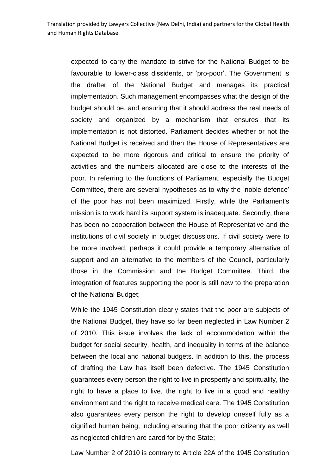expected to carry the mandate to strive for the National Budget to be favourable to lower-class dissidents, or 'pro-poor'. The Government is the drafter of the National Budget and manages its practical implementation. Such management encompasses what the design of the budget should be, and ensuring that it should address the real needs of society and organized by a mechanism that ensures that its implementation is not distorted. Parliament decides whether or not the National Budget is received and then the House of Representatives are expected to be more rigorous and critical to ensure the priority of activities and the numbers allocated are close to the interests of the poor. In referring to the functions of Parliament, especially the Budget Committee, there are several hypotheses as to why the 'noble defence' of the poor has not been maximized. Firstly, while the Parliament's mission is to work hard its support system is inadequate. Secondly, there has been no cooperation between the House of Representative and the institutions of civil society in budget discussions. If civil society were to be more involved, perhaps it could provide a temporary alternative of support and an alternative to the members of the Council, particularly those in the Commission and the Budget Committee. Third, the integration of features supporting the poor is still new to the preparation of the National Budget;

While the 1945 Constitution clearly states that the poor are subjects of the National Budget, they have so far been neglected in Law Number 2 of 2010. This issue involves the lack of accommodation within the budget for social security, health, and inequality in terms of the balance between the local and national budgets. In addition to this, the process of drafting the Law has itself been defective. The 1945 Constitution guarantees every person the right to live in prosperity and spirituality, the right to have a place to live, the right to live in a good and healthy environment and the right to receive medical care. The 1945 Constitution also guarantees every person the right to develop oneself fully as a dignified human being, including ensuring that the poor citizenry as well as neglected children are cared for by the State;

Law Number 2 of 2010 is contrary to Article 22A of the 1945 Constitution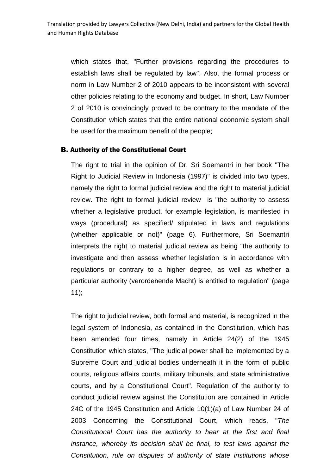which states that, "Further provisions regarding the procedures to establish laws shall be regulated by law". Also, the formal process or norm in Law Number 2 of 2010 appears to be inconsistent with several other policies relating to the economy and budget. In short, Law Number 2 of 2010 is convincingly proved to be contrary to the mandate of the Constitution which states that the entire national economic system shall be used for the maximum benefit of the people;

### B. Authority of the Constitutional Court

The right to trial in the opinion of Dr. Sri Soemantri in her book "The Right to Judicial Review in Indonesia (1997)" is divided into two types, namely the right to formal judicial review and the right to material judicial review. The right to formal judicial review is "the authority to assess whether a legislative product, for example legislation, is manifested in ways (procedural) as specified/ stipulated in laws and regulations (whether applicable or not)" (page 6). Furthermore, Sri Soemantri interprets the right to material judicial review as being "the authority to investigate and then assess whether legislation is in accordance with regulations or contrary to a higher degree, as well as whether a particular authority (verordenende Macht) is entitled to regulation" (page 11);

The right to judicial review, both formal and material, is recognized in the legal system of Indonesia, as contained in the Constitution, which has been amended four times, namely in Article 24(2) of the 1945 Constitution which states, "The judicial power shall be implemented by a Supreme Court and judicial bodies underneath it in the form of public courts, religious affairs courts, military tribunals, and state administrative courts, and by a Constitutional Court". Regulation of the authority to conduct judicial review against the Constitution are contained in Article 24C of the 1945 Constitution and Article 10(1)(a) of Law Number 24 of 2003 Concerning the Constitutional Court, which reads, "*The Constitutional Court has the authority to hear at the first and final instance, whereby its decision shall be final, to test laws against the Constitution, rule on disputes of authority of state institutions whose*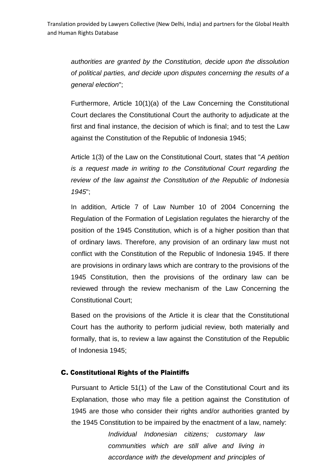*authorities are granted by the Constitution, decide upon the dissolution of political parties, and decide upon disputes concerning the results of a general election*";

Furthermore, Article 10(1)(a) of the Law Concerning the Constitutional Court declares the Constitutional Court the authority to adjudicate at the first and final instance, the decision of which is final; and to test the Law against the Constitution of the Republic of Indonesia 1945;

Article 1(3) of the Law on the Constitutional Court, states that "*A petition is a request made in writing to the Constitutional Court regarding the review of the law against the Constitution of the Republic of Indonesia 1945*";

In addition, Article 7 of Law Number 10 of 2004 Concerning the Regulation of the Formation of Legislation regulates the hierarchy of the position of the 1945 Constitution, which is of a higher position than that of ordinary laws. Therefore, any provision of an ordinary law must not conflict with the Constitution of the Republic of Indonesia 1945. If there are provisions in ordinary laws which are contrary to the provisions of the 1945 Constitution, then the provisions of the ordinary law can be reviewed through the review mechanism of the Law Concerning the Constitutional Court;

Based on the provisions of the Article it is clear that the Constitutional Court has the authority to perform judicial review, both materially and formally, that is, to review a law against the Constitution of the Republic of Indonesia 1945;

### C. Constitutional Rights of the Plaintiffs

Pursuant to Article 51(1) of the Law of the Constitutional Court and its Explanation, those who may file a petition against the Constitution of 1945 are those who consider their rights and/or authorities granted by the 1945 Constitution to be impaired by the enactment of a law, namely:

> *Individual Indonesian citizens; customary law communities which are still alive and living in accordance with the development and principles of*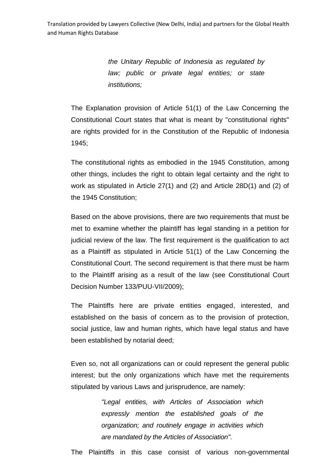*the Unitary Republic of Indonesia as regulated by law; public or private legal entities; or state institutions;*

The Explanation provision of Article 51(1) of the Law Concerning the Constitutional Court states that what is meant by "constitutional rights" are rights provided for in the Constitution of the Republic of Indonesia 1945;

The constitutional rights as embodied in the 1945 Constitution, among other things, includes the right to obtain legal certainty and the right to work as stipulated in Article 27(1) and (2) and Article 28D(1) and (2) of the 1945 Constitution;

Based on the above provisions, there are two requirements that must be met to examine whether the plaintiff has legal standing in a petition for judicial review of the law. The first requirement is the qualification to act as a Plaintiff as stipulated in Article 51(1) of the Law Concerning the Constitutional Court. The second requirement is that there must be harm to the Plaintiff arising as a result of the law (see Constitutional Court Decision Number 133/PUU-VII/2009);

The Plaintiffs here are private entities engaged, interested, and established on the basis of concern as to the provision of protection, social justice, law and human rights, which have legal status and have been established by notarial deed;

Even so, not all organizations can or could represent the general public interest; but the only organizations which have met the requirements stipulated by various Laws and jurisprudence, are namely:

> *"Legal entities, with Articles of Association which expressly mention the established goals of the organization; and routinely engage in activities which are mandated by the Articles of Association".*

The Plaintiffs in this case consist of various non-governmental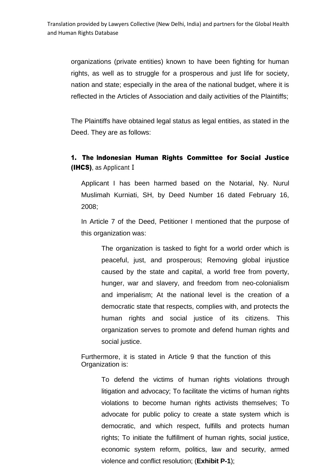organizations (private entities) known to have been fighting for human rights, as well as to struggle for a prosperous and just life for society, nation and state; especially in the area of the national budget, where it is reflected in the Articles of Association and daily activities of the Plaintiffs;

The Plaintiffs have obtained legal status as legal entities, as stated in the Deed. They are as follows:

## 1. The Indonesian Human Rights Committee for Social Justice (IHCS), as Applicant I

Applicant I has been harmed based on the Notarial, Ny. Nurul Muslimah Kurniati, SH, by Deed Number 16 dated February 16, 2008;

In Article 7 of the Deed, Petitioner I mentioned that the purpose of this organization was:

The organization is tasked to fight for a world order which is peaceful, just, and prosperous; Removing global injustice caused by the state and capital, a world free from poverty, hunger, war and slavery, and freedom from neo-colonialism and imperialism; At the national level is the creation of a democratic state that respects, complies with, and protects the human rights and social justice of its citizens. This organization serves to promote and defend human rights and social justice.

Furthermore, it is stated in Article 9 that the function of this Organization is:

> To defend the victims of human rights violations through litigation and advocacy; To facilitate the victims of human rights violations to become human rights activists themselves; To advocate for public policy to create a state system which is democratic, and which respect, fulfills and protects human rights; To initiate the fulfillment of human rights, social justice, economic system reform, politics, law and security, armed violence and conflict resolution; (**Exhibit P-1**);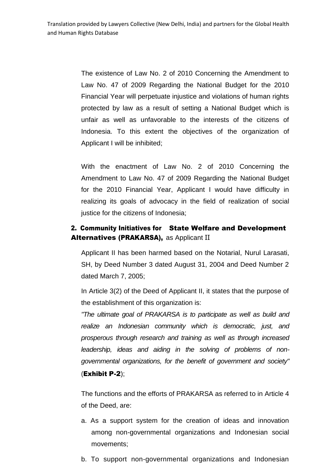> The existence of Law No. 2 of 2010 Concerning the Amendment to Law No. 47 of 2009 Regarding the National Budget for the 2010 Financial Year will perpetuate injustice and violations of human rights protected by law as a result of setting a National Budget which is unfair as well as unfavorable to the interests of the citizens of Indonesia. To this extent the objectives of the organization of Applicant I will be inhibited;

> With the enactment of Law No. 2 of 2010 Concerning the Amendment to Law No. 47 of 2009 Regarding the National Budget for the 2010 Financial Year, Applicant I would have difficulty in realizing its goals of advocacy in the field of realization of social justice for the citizens of Indonesia;

## 2. Community Initiatives for State Welfare and Development Alternatives (PRAKARSA), as Applicant II

Applicant II has been harmed based on the Notarial, Nurul Larasati, SH, by Deed Number 3 dated August 31, 2004 and Deed Number 2 dated March 7, 2005;

In Article 3(2) of the Deed of Applicant II, it states that the purpose of the establishment of this organization is:

*"The ultimate goal of PRAKARSA is to participate as well as build and realize an Indonesian community which is democratic, just, and prosperous through research and training as well as through increased leadership, ideas and aiding in the solving of problems of nongovernmental organizations, for the benefit of government and society"* (Exhibit P-2);

The functions and the efforts of PRAKARSA as referred to in Article 4 of the Deed, are:

- a. As a support system for the creation of ideas and innovation among non-governmental organizations and Indonesian social movements;
- b. To support non-governmental organizations and Indonesian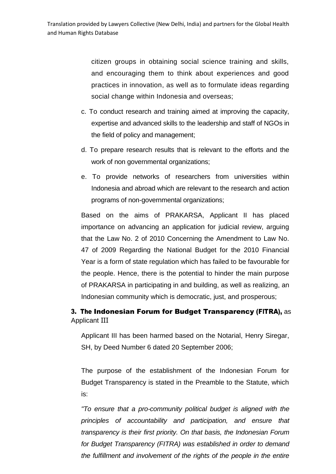citizen groups in obtaining social science training and skills, and encouraging them to think about experiences and good practices in innovation, as well as to formulate ideas regarding social change within Indonesia and overseas;

- c. To conduct research and training aimed at improving the capacity, expertise and advanced skills to the leadership and staff of NGOs in the field of policy and management;
- d. To prepare research results that is relevant to the efforts and the work of non governmental organizations;
- e. To provide networks of researchers from universities within Indonesia and abroad which are relevant to the research and action programs of non-governmental organizations;

Based on the aims of PRAKARSA, Applicant II has placed importance on advancing an application for judicial review, arguing that the Law No. 2 of 2010 Concerning the Amendment to Law No. 47 of 2009 Regarding the National Budget for the 2010 Financial Year is a form of state regulation which has failed to be favourable for the people. Hence, there is the potential to hinder the main purpose of PRAKARSA in participating in and building, as well as realizing, an Indonesian community which is democratic, just, and prosperous;

## 3. The Indonesian Forum for Budget Transparency (FITRA), as Applicant III

Applicant III has been harmed based on the Notarial, Henry Siregar, SH, by Deed Number 6 dated 20 September 2006;

The purpose of the establishment of the Indonesian Forum for Budget Transparency is stated in the Preamble to the Statute, which is:

*"To ensure that a pro-community political budget is aligned with the principles of accountability and participation, and ensure that transparency is their first priority. On that basis, the Indonesian Forum for Budget Transparency (FITRA) was established in order to demand the fulfillment and involvement of the rights of the people in the entire*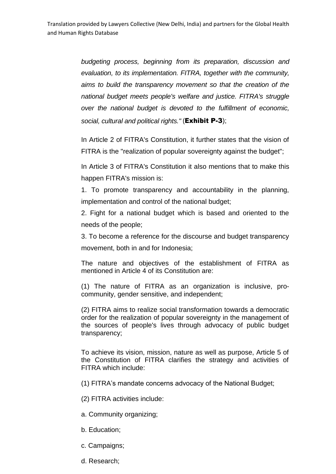*budgeting process, beginning from its preparation, discussion and evaluation, to its implementation. FITRA, together with the community, aims to build the transparency movement so that the creation of the national budget meets people's welfare and justice. FITRA's struggle over the national budget is devoted to the fulfillment of economic, social, cultural and political rights."* (Exhibit P-3);

In Article 2 of FITRA's Constitution, it further states that the vision of FITRA is the "realization of popular sovereignty against the budget";

In Article 3 of FITRA's Constitution it also mentions that to make this happen FITRA's mission is:

1. To promote transparency and accountability in the planning, implementation and control of the national budget;

2. Fight for a national budget which is based and oriented to the needs of the people;

3. To become a reference for the discourse and budget transparency movement, both in and for Indonesia;

The nature and objectives of the establishment of FITRA as mentioned in Article 4 of its Constitution are:

(1) The nature of FITRA as an organization is inclusive, procommunity, gender sensitive, and independent;

(2) FITRA aims to realize social transformation towards a democratic order for the realization of popular sovereignty in the management of the sources of people's lives through advocacy of public budget transparency;

To achieve its vision, mission, nature as well as purpose, Article 5 of the Constitution of FITRA clarifies the strategy and activities of FITRA which include:

(1) FITRA's mandate concerns advocacy of the National Budget;

(2) FITRA activities include:

- a. Community organizing;
- b. Education;
- c. Campaigns;
- d. Research;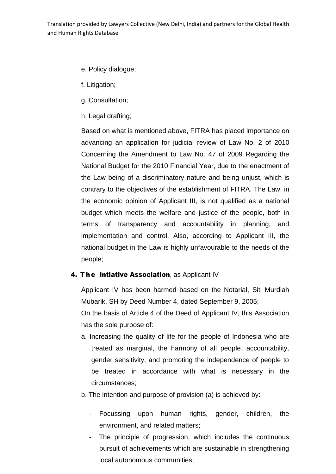- e. Policy dialogue;
- f. Litigation;
- g. Consultation;
- h. Legal drafting;

Based on what is mentioned above, FITRA has placed importance on advancing an application for judicial review of Law No. 2 of 2010 Concerning the Amendment to Law No. 47 of 2009 Regarding the National Budget for the 2010 Financial Year, due to the enactment of the Law being of a discriminatory nature and being unjust, which is contrary to the objectives of the establishment of FITRA. The Law, in the economic opinion of Applicant III, is not qualified as a national budget which meets the welfare and justice of the people, both in terms of transparency and accountability in planning, and implementation and control. Also, according to Applicant III, the national budget in the Law is highly unfavourable to the needs of the people;

## 4. The Intiative Association, as Applicant IV

Applicant IV has been harmed based on the Notarial, Siti Murdiah Mubarik, SH by Deed Number 4, dated September 9, 2005;

On the basis of Article 4 of the Deed of Applicant IV, this Association has the sole purpose of:

- a. Increasing the quality of life for the people of Indonesia who are treated as marginal, the harmony of all people, accountability, gender sensitivity, and promoting the independence of people to be treated in accordance with what is necessary in the circumstances;
- b. The intention and purpose of provision (a) is achieved by:
	- Focussing upon human rights, gender, children, the environment, and related matters;
	- The principle of progression, which includes the continuous pursuit of achievements which are sustainable in strengthening local autonomous communities;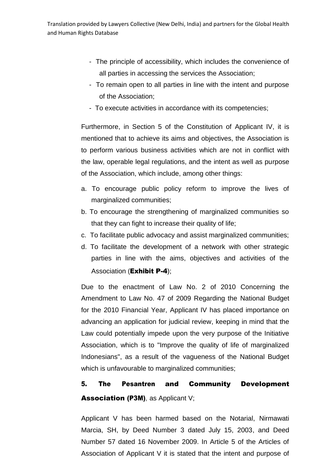- The principle of accessibility, which includes the convenience of all parties in accessing the services the Association;
- To remain open to all parties in line with the intent and purpose of the Association;
- To execute activities in accordance with its competencies;

Furthermore, in Section 5 of the Constitution of Applicant IV, it is mentioned that to achieve its aims and objectives, the Association is to perform various business activities which are not in conflict with the law, operable legal regulations, and the intent as well as purpose of the Association, which include, among other things:

- a. To encourage public policy reform to improve the lives of marginalized communities;
- b. To encourage the strengthening of marginalized communities so that they can fight to increase their quality of life;
- c. To facilitate public advocacy and assist marginalized communities;
- d. To facilitate the development of a network with other strategic parties in line with the aims, objectives and activities of the Association (**Exhibit P-4**);

Due to the enactment of Law No. 2 of 2010 Concerning the Amendment to Law No. 47 of 2009 Regarding the National Budget for the 2010 Financial Year, Applicant IV has placed importance on advancing an application for judicial review, keeping in mind that the Law could potentially impede upon the very purpose of the Initiative Association, which is to "Improve the quality of life of marginalized Indonesians", as a result of the vagueness of the National Budget which is unfavourable to marginalized communities;

# 5. The Pesantren and Community Development Association (P3M), as Applicant V;

Applicant V has been harmed based on the Notarial, Nirmawati Marcia, SH, by Deed Number 3 dated July 15, 2003, and Deed Number 57 dated 16 November 2009. In Article 5 of the Articles of Association of Applicant V it is stated that the intent and purpose of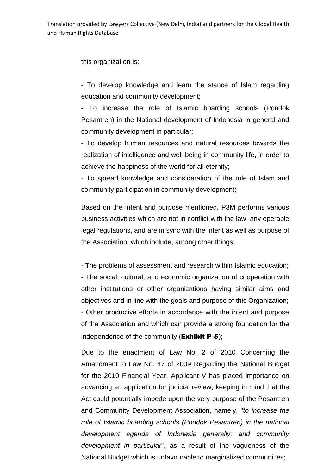this organization is:

- To develop knowledge and learn the stance of Islam regarding education and community development;

- To increase the role of Islamic boarding schools (Pondok Pesantren) in the National development of Indonesia in general and community development in particular;

- To develop human resources and natural resources towards the realization of intelligence and well-being in community life, in order to achieve the happiness of the world for all eternity;

- To spread knowledge and consideration of the role of Islam and community participation in community development;

Based on the intent and purpose mentioned, P3M performs various business activities which are not in conflict with the law, any operable legal regulations, and are in sync with the intent as well as purpose of the Association, which include, among other things:

- The problems of assessment and research within Islamic education; - The social, cultural, and economic organization of cooperation with other institutions or other organizations having similar aims and objectives and in line with the goals and purpose of this Organization; - Other productive efforts in accordance with the intent and purpose of the Association and which can provide a strong foundation for the independence of the community (**Exhibit P-5**);

Due to the enactment of Law No. 2 of 2010 Concerning the Amendment to Law No. 47 of 2009 Regarding the National Budget for the 2010 Financial Year, Applicant V has placed importance on advancing an application for judicial review, keeping in mind that the Act could potentially impede upon the very purpose of the Pesantren and Community Development Association, namely, "*to increase the role of Islamic boarding schools (Pondok Pesantren) in the national development agenda of Indonesia generally, and community development in particular*", as a result of the vagueness of the National Budget which is unfavourable to marginalized communities;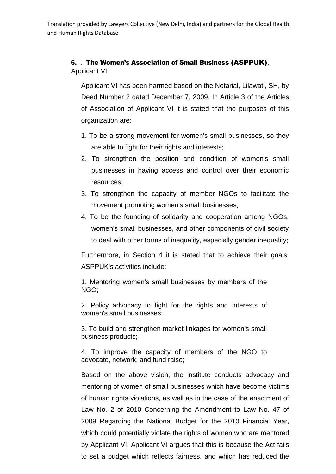### 6. . The Women's Association of Small Business (ASPPUK), Applicant VI

Applicant VI has been harmed based on the Notarial, Lilawati, SH, by Deed Number 2 dated December 7, 2009. In Article 3 of the Articles of Association of Applicant VI it is stated that the purposes of this organization are:

- 1. To be a strong movement for women's small businesses, so they are able to fight for their rights and interests;
- 2. To strengthen the position and condition of women's small businesses in having access and control over their economic resources;
- 3. To strengthen the capacity of member NGOs to facilitate the movement promoting women's small businesses;
- 4. To be the founding of solidarity and cooperation among NGOs, women's small businesses, and other components of civil society to deal with other forms of inequality, especially gender inequality;

Furthermore, in Section 4 it is stated that to achieve their goals, ASPPUK's activities include:

1. Mentoring women's small businesses by members of the NGO;

2. Policy advocacy to fight for the rights and interests of women's small businesses;

3. To build and strengthen market linkages for women's small business products;

4. To improve the capacity of members of the NGO to advocate, network, and fund raise;

Based on the above vision, the institute conducts advocacy and mentoring of women of small businesses which have become victims of human rights violations, as well as in the case of the enactment of Law No. 2 of 2010 Concerning the Amendment to Law No. 47 of 2009 Regarding the National Budget for the 2010 Financial Year, which could potentially violate the rights of women who are mentored by Applicant VI. Applicant VI argues that this is because the Act fails to set a budget which reflects fairness, and which has reduced the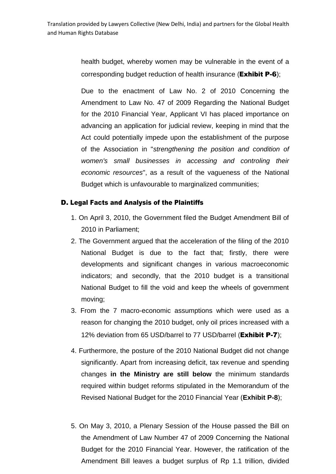health budget, whereby women may be vulnerable in the event of a corresponding budget reduction of health insurance (**Exhibit P-6**);

Due to the enactment of Law No. 2 of 2010 Concerning the Amendment to Law No. 47 of 2009 Regarding the National Budget for the 2010 Financial Year, Applicant VI has placed importance on advancing an application for judicial review, keeping in mind that the Act could potentially impede upon the establishment of the purpose of the Association in "*strengthening the position and condition of women's small businesses in accessing and controling their economic resources*", as a result of the vagueness of the National Budget which is unfavourable to marginalized communities;

### D. Legal Facts and Analysis of the Plaintiffs

- 1. On April 3, 2010, the Government filed the Budget Amendment Bill of 2010 in Parliament;
- 2. The Government argued that the acceleration of the filing of the 2010 National Budget is due to the fact that; firstly, there were developments and significant changes in various macroeconomic indicators; and secondly, that the 2010 budget is a transitional National Budget to fill the void and keep the wheels of government moving;
- 3. From the 7 macro-economic assumptions which were used as a reason for changing the 2010 budget, only oil prices increased with a 12% deviation from 65 USD/barrel to 77 USD/barrel (Exhibit P-7);
- 4. Furthermore, the posture of the 2010 National Budget did not change significantly. Apart from increasing deficit, tax revenue and spending changes **in the Ministry are still below** the minimum standards required within budget reforms stipulated in the Memorandum of the Revised National Budget for the 2010 Financial Year (**Exhibit P-8**);
- 5. On May 3, 2010, a Plenary Session of the House passed the Bill on the Amendment of Law Number 47 of 2009 Concerning the National Budget for the 2010 Financial Year. However, the ratification of the Amendment Bill leaves a budget surplus of Rp 1.1 trillion, divided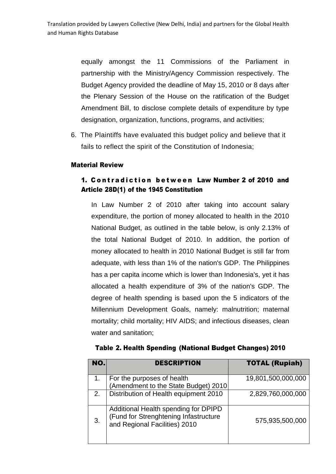equally amongst the 11 Commissions of the Parliament in partnership with the Ministry/Agency Commission respectively. The Budget Agency provided the deadline of May 15, 2010 or 8 days after the Plenary Session of the House on the ratification of the Budget Amendment Bill, to disclose complete details of expenditure by type designation, organization, functions, programs, and activities;

6. The Plaintiffs have evaluated this budget policy and believe that it fails to reflect the spirit of the Constitution of Indonesia;

### Material Review

## 1. Contradiction between Law Number 2 of 2010 and Article 28D(1) of the 1945 Constitution

In Law Number 2 of 2010 after taking into account salary expenditure, the portion of money allocated to health in the 2010 National Budget, as outlined in the table below, is only 2.13% of the total National Budget of 2010. In addition, the portion of money allocated to health in 2010 National Budget is still far from adequate, with less than 1% of the nation's GDP. The Philippines has a per capita income which is lower than Indonesia's, yet it has allocated a health expenditure of 3% of the nation's GDP. The degree of health spending is based upon the 5 indicators of the Millennium Development Goals, namely: malnutrition; maternal mortality; child mortality; HIV AIDS; and infectious diseases, clean water and sanitation;

| NO. | <b>DESCRIPTION</b>                                                                                             | <b>TOTAL (Rupiah)</b> |
|-----|----------------------------------------------------------------------------------------------------------------|-----------------------|
| 1.  | For the purposes of health<br>(Amendment to the State Budget) 2010                                             | 19,801,500,000,000    |
| 2.  | Distribution of Health equipment 2010                                                                          | 2,829,760,000,000     |
| 3.  | Additional Health spending for DPIPD<br>(Fund for Strenghtening Infastructure<br>and Regional Facilities) 2010 | 575,935,500,000       |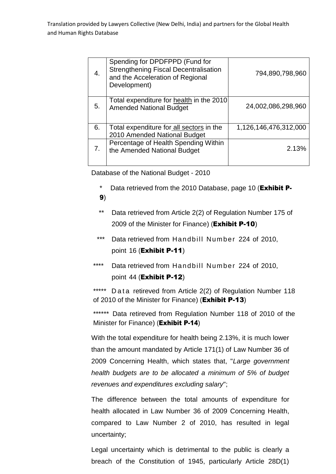| 4. | Spending for DPDFPPD (Fund for<br><b>Strengthening Fiscal Decentralisation</b><br>and the Acceleration of Regional<br>Development) | 794,890,798,960       |
|----|------------------------------------------------------------------------------------------------------------------------------------|-----------------------|
| 5. | Total expenditure for health in the 2010<br><b>Amended National Budget</b>                                                         | 24,002,086,298,960    |
| 6. | Total expenditure for all sectors in the<br>2010 Amended National Budget                                                           | 1,126,146,476,312,000 |
| 7. | Percentage of Health Spending Within<br>the Amended National Budget                                                                | 2.13%                 |

Database of the National Budget - 2010

- \* Data retrieved from the 2010 Database, page 10 (**Exhibit P-**9)
- \*\* Data retrieved from Article 2(2) of Regulation Number 175 of 2009 of the Minister for Finance) (Exhibit P-10)
- \*\*\* Data retrieved from Handbill Number 224 of 2010, point 16 (Exhibit P-11)
- \*\*\*\* Data retrieved from Handbill Number 224 of 2010, point 44 (Exhibit P-12)

\*\*\*\*\* Data retireved from Article 2(2) of Regulation Number 118 of 2010 of the Minister for Finance) (Exhibit P-13)

\*\*\*\*\*\* Data retireved from Regulation Number 118 of 2010 of the Minister for Finance) (Exhibit P-14)

With the total expenditure for health being 2.13%, it is much lower than the amount mandated by Article 171(1) of Law Number 36 of 2009 Concerning Health, which states that, "*Large government health budgets are to be allocated a minimum of 5% of budget revenues and expenditures excluding salary*";

The difference between the total amounts of expenditure for health allocated in Law Number 36 of 2009 Concerning Health, compared to Law Number 2 of 2010, has resulted in legal uncertainty;

Legal uncertainty which is detrimental to the public is clearly a breach of the Constitution of 1945, particularly Article 28D(1)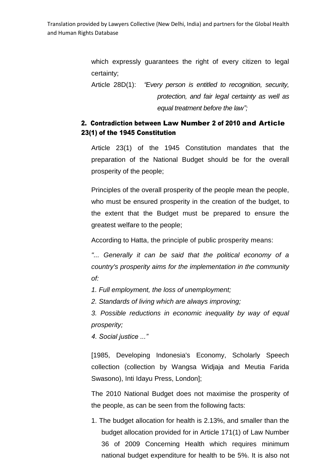which expressly guarantees the right of every citizen to legal certainty;

Article 28D(1): *"Every person is entitled to recognition, security, protection, and fair legal certainty as well as equal treatment before the law";*

## 2. Contradiction between Law Number 2 of 2010 and Article 23(1) of the 1945 Constitution

Article 23(1) of the 1945 Constitution mandates that the preparation of the National Budget should be for the overall prosperity of the people;

Principles of the overall prosperity of the people mean the people, who must be ensured prosperity in the creation of the budget, to the extent that the Budget must be prepared to ensure the greatest welfare to the people;

According to Hatta, the principle of public prosperity means:

*"... Generally it can be said that the political economy of a country's prosperity aims for the implementation in the community of:*

*1. Full employment, the loss of unemployment;*

*2. Standards of living which are always improving;*

*3. Possible reductions in economic inequality by way of equal prosperity;*

*4. Social justice ..."* 

[1985, Developing Indonesia's Economy, Scholarly Speech collection (collection by Wangsa Widjaja and Meutia Farida Swasono), Inti Idayu Press, London];

The 2010 National Budget does not maximise the prosperity of the people, as can be seen from the following facts:

1. The budget allocation for health is 2.13%, and smaller than the budget allocation provided for in Article 171(1) of Law Number 36 of 2009 Concerning Health which requires minimum national budget expenditure for health to be 5%. It is also not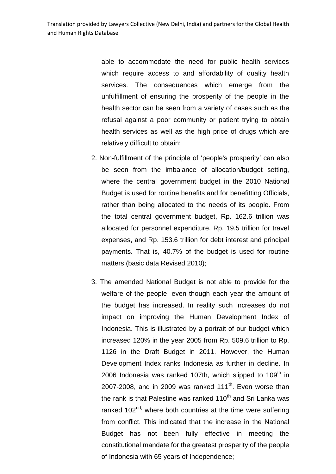able to accommodate the need for public health services which require access to and affordability of quality health services. The consequences which emerge from the unfulfillment of ensuring the prosperity of the people in the health sector can be seen from a variety of cases such as the refusal against a poor community or patient trying to obtain health services as well as the high price of drugs which are relatively difficult to obtain;

- 2. Non-fulfillment of the principle of 'people's prosperity' can also be seen from the imbalance of allocation/budget setting, where the central government budget in the 2010 National Budget is used for routine benefits and for benefitting Officials, rather than being allocated to the needs of its people. From the total central government budget, Rp. 162.6 trillion was allocated for personnel expenditure, Rp. 19.5 trillion for travel expenses, and Rp. 153.6 trillion for debt interest and principal payments. That is, 40.7% of the budget is used for routine matters (basic data Revised 2010);
- 3. The amended National Budget is not able to provide for the welfare of the people, even though each year the amount of the budget has increased. In reality such increases do not impact on improving the Human Development Index of Indonesia. This is illustrated by a portrait of our budget which increased 120% in the year 2005 from Rp. 509.6 trillion to Rp. 1126 in the Draft Budget in 2011. However, the Human Development Index ranks Indonesia as further in decline. In 2006 Indonesia was ranked 107th, which slipped to  $109<sup>th</sup>$  in 2007-2008, and in 2009 was ranked 111<sup>th</sup>. Even worse than the rank is that Palestine was ranked  $110<sup>th</sup>$  and Sri Lanka was ranked 102<sup>nd;</sup> where both countries at the time were suffering from conflict. This indicated that the increase in the National Budget has not been fully effective in meeting the constitutional mandate for the greatest prosperity of the people of Indonesia with 65 years of Independence;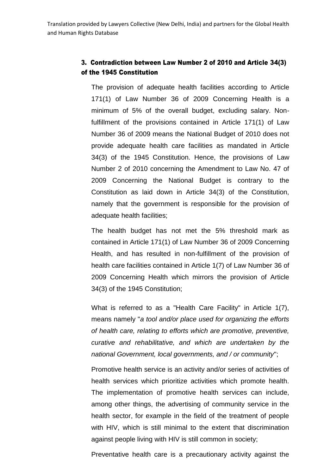## 3. Contradiction between Law Number 2 of 2010 and Article 34(3) of the 1945 Constitution

The provision of adequate health facilities according to Article 171(1) of Law Number 36 of 2009 Concerning Health is a minimum of 5% of the overall budget, excluding salary. Nonfulfillment of the provisions contained in Article 171(1) of Law Number 36 of 2009 means the National Budget of 2010 does not provide adequate health care facilities as mandated in Article 34(3) of the 1945 Constitution. Hence, the provisions of Law Number 2 of 2010 concerning the Amendment to Law No. 47 of 2009 Concerning the National Budget is contrary to the Constitution as laid down in Article 34(3) of the Constitution, namely that the government is responsible for the provision of adequate health facilities;

The health budget has not met the 5% threshold mark as contained in Article 171(1) of Law Number 36 of 2009 Concerning Health, and has resulted in non-fulfillment of the provision of health care facilities contained in Article 1(7) of Law Number 36 of 2009 Concerning Health which mirrors the provision of Article 34(3) of the 1945 Constitution;

What is referred to as a "Health Care Facility" in Article 1(7), means namely "*a tool and/or place used for organizing the efforts of health care, relating to efforts which are promotive, preventive, curative and rehabilitative, and which are undertaken by the national Government, local governments, and / or community*";

Promotive health service is an activity and/or series of activities of health services which prioritize activities which promote health. The implementation of promotive health services can include, among other things, the advertising of community service in the health sector, for example in the field of the treatment of people with HIV, which is still minimal to the extent that discrimination against people living with HIV is still common in society;

Preventative health care is a precautionary activity against the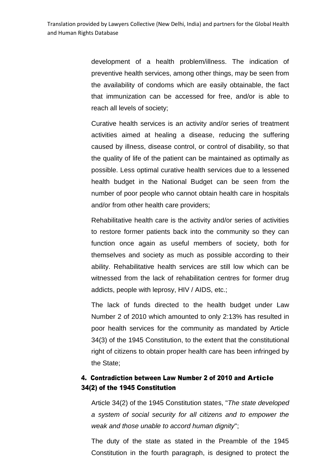development of a health problem/illness. The indication of preventive health services, among other things, may be seen from the availability of condoms which are easily obtainable, the fact that immunization can be accessed for free, and/or is able to reach all levels of society;

Curative health services is an activity and/or series of treatment activities aimed at healing a disease, reducing the suffering caused by illness, disease control, or control of disability, so that the quality of life of the patient can be maintained as optimally as possible. Less optimal curative health services due to a lessened health budget in the National Budget can be seen from the number of poor people who cannot obtain health care in hospitals and/or from other health care providers;

Rehabilitative health care is the activity and/or series of activities to restore former patients back into the community so they can function once again as useful members of society, both for themselves and society as much as possible according to their ability. Rehabilitative health services are still low which can be witnessed from the lack of rehabilitation centres for former drug addicts, people with leprosy, HIV / AIDS, etc.;

The lack of funds directed to the health budget under Law Number 2 of 2010 which amounted to only 2:13% has resulted in poor health services for the community as mandated by Article 34(3) of the 1945 Constitution, to the extent that the constitutional right of citizens to obtain proper health care has been infringed by the State;

## 4. Contradiction between Law Number 2 of 2010 and Article 34(2) of the 1945 Constitution

Article 34(2) of the 1945 Constitution states, "*The state developed a system of social security for all citizens and to empower the weak and those unable to accord human dignity*";

The duty of the state as stated in the Preamble of the 1945 Constitution in the fourth paragraph, is designed to protect the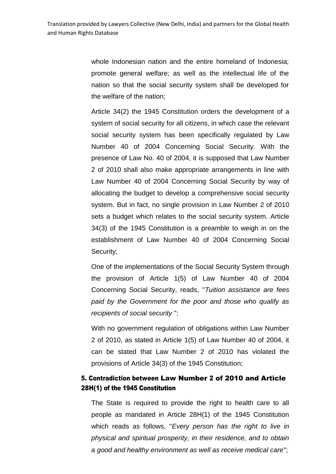whole Indonesian nation and the entire homeland of Indonesia; promote general welfare; as well as the intellectual life of the nation so that the social security system shall be developed for the welfare of the nation;

Article 34(2) the 1945 Constitution orders the development of a system of social security for all citizens, in which case the relevant social security system has been specifically regulated by Law Number 40 of 2004 Concerning Social Security. With the presence of Law No. 40 of 2004, it is supposed that Law Number 2 of 2010 shall also make appropriate arrangements in line with Law Number 40 of 2004 Concerning Social Security by way of allocating the budget to develop a comprehensive social security system. But in fact, no single provision in Law Number 2 of 2010 sets a budget which relates to the social security system. Article 34(3) of the 1945 Constitution is a preamble to weigh in on the establishment of Law Number 40 of 2004 Concerning Social Security;

One of the implementations of the Social Security System through the provision of Article 1(5) of Law Number 40 of 2004 Concerning Social Security, reads, "*Tuition assistance are fees paid by the Government for the poor and those who qualify as recipients of social security* ";

With no government regulation of obligations within Law Number 2 of 2010, as stated in Article 1(5) of Law Number 40 of 2004, it can be stated that Law Number 2 of 2010 has violated the provisions of Article 34(3) of the 1945 Constitution;

## 5. Contradiction between Law Number 2 of 2010 and Article 28H(1) of the 1945 Constitution

The State is required to provide the right to health care to all people as mandated in Article 28H(1) of the 1945 Constitution which reads as follows, "*Every person has the right to live in physical and spiritual prosperity, in their residence, and to obtain a good and healthy environment as well as receive medical care*";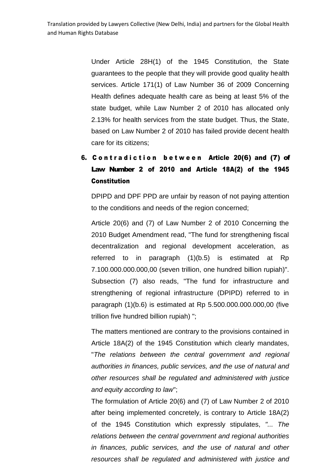Under Article 28H(1) of the 1945 Constitution, the State guarantees to the people that they will provide good quality health services. Article 171(1) of Law Number 36 of 2009 Concerning Health defines adequate health care as being at least 5% of the state budget, while Law Number 2 of 2010 has allocated only 2.13% for health services from the state budget. Thus, the State, based on Law Number 2 of 2010 has failed provide decent health care for its citizens;

## 6. Contradiction between Article 20(6) and (7) of Law Number 2 of 2010 and Article 18A(2) of the 1945 **Constitution**

DPIPD and DPF PPD are unfair by reason of not paying attention to the conditions and needs of the region concerned;

Article 20(6) and (7) of Law Number 2 of 2010 Concerning the 2010 Budget Amendment read, "The fund for strengthening fiscal decentralization and regional development acceleration, as referred to in paragraph (1)(b.5) is estimated at Rp 7.100.000.000.000,00 (seven trillion, one hundred billion rupiah)". Subsection (7) also reads, "The fund for infrastructure and strengthening of regional infrastructure (DPIPD) referred to in paragraph (1)(b.6) is estimated at Rp 5.500.000.000.000,00 (five trillion five hundred billion rupiah) ";

The matters mentioned are contrary to the provisions contained in Article 18A(2) of the 1945 Constitution which clearly mandates, "*The relations between the central government and regional authorities in finances, public services, and the use of natural and other resources shall be regulated and administered with justice and equity according to law*";

The formulation of Article 20(6) and (7) of Law Number 2 of 2010 after being implemented concretely, is contrary to Article 18A(2) of the 1945 Constitution which expressly stipulates, *"... The relations between the central government and regional authorities in finances, public services, and the use of natural and other resources shall be regulated and administered with justice and*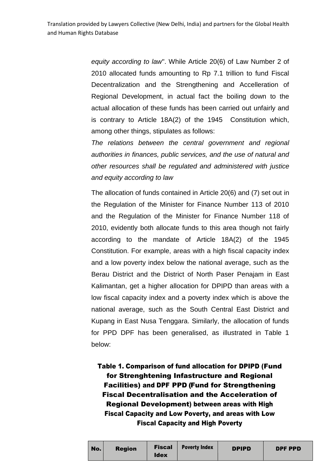*equity according to law*". While Article 20(6) of Law Number 2 of 2010 allocated funds amounting to Rp 7.1 trillion to fund Fiscal Decentralization and the Strengthening and Accelleration of Regional Development, in actual fact the boiling down to the actual allocation of these funds has been carried out unfairly and is contrary to Article 18A(2) of the 1945 Constitution which, among other things, stipulates as follows:

*The relations between the central government and regional authorities in finances, public services, and the use of natural and other resources shall be regulated and administered with justice and equity according to law*

The allocation of funds contained in Article 20(6) and (7) set out in the Regulation of the Minister for Finance Number 113 of 2010 and the Regulation of the Minister for Finance Number 118 of 2010, evidently both allocate funds to this area though not fairly according to the mandate of Article 18A(2) of the 1945 Constitution. For example, areas with a high fiscal capacity index and a low poverty index below the national average, such as the Berau District and the District of North Paser Penajam in East Kalimantan, get a higher allocation for DPIPD than areas with a low fiscal capacity index and a poverty index which is above the national average, such as the South Central East District and Kupang in East Nusa Tenggara. Similarly, the allocation of funds for PPD DPF has been generalised, as illustrated in Table 1 below:

Table 1. Comparison of fund allocation for DPIPD (Fund for Strenghtening Infastructure and Regional Facilities) and DPF PPD (Fund for Strengthening Fiscal Decentralisation and the Acceleration of Regional Development) between areas with High Fiscal Capacity and Low Poverty, and areas with Low Fiscal Capacity and High Poverty

| No. | <b>Region</b> | Fiscal  <br><b>Idex</b> | <b>Poverty Index</b> | <b>DPIPD</b> | <b>DPF PPD</b> |
|-----|---------------|-------------------------|----------------------|--------------|----------------|
|-----|---------------|-------------------------|----------------------|--------------|----------------|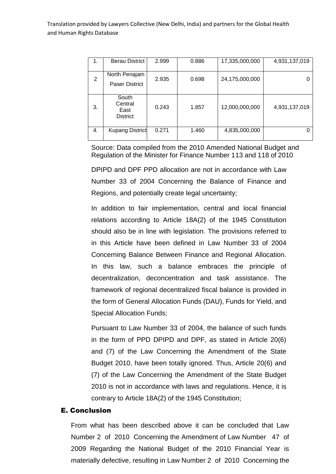| 1. | Berau District                              | 2.999 | 0.886 | 17,335,000,000 | 4,931,137,019 |
|----|---------------------------------------------|-------|-------|----------------|---------------|
| 2  | North Penajam<br><b>Paser District</b>      | 2.935 | 0.698 | 24,175,000,000 |               |
| 3. | South<br>Central<br>East<br><b>District</b> | 0.243 | 1.857 | 12,000,000,000 | 4,931,137,019 |
| 4. | <b>Kupang District</b>                      | 0.271 | 1.460 | 4,835,000,000  | 0             |

Source: Data compiled from the 2010 Amended National Budget and Regulation of the Minister for Finance Number 113 and 118 of 2010

DPIPD and DPF PPD allocation are not in accordance with Law Number 33 of 2004 Concerning the Balance of Finance and Regions, and potentially create legal uncertainty;

In addition to fair implementation, central and local financial relations according to Article 18A(2) of the 1945 Constitution should also be in line with legislation. The provisions referred to in this Article have been defined in Law Number 33 of 2004 Concerning Balance Between Finance and Regional Allocation. In this law, such a balance embraces the principle of decentralization, deconcentration and task assistance. The framework of regional decentralized fiscal balance is provided in the form of General Allocation Funds (DAU), Funds for Yield, and Special Allocation Funds;

Pursuant to Law Number 33 of 2004, the balance of such funds in the form of PPD DPIPD and DPF, as stated in Article 20(6) and (7) of the Law Concerning the Amendment of the State Budget 2010, have been totally ignored. Thus, Article 20(6) and (7) of the Law Concerning the Amendment of the State Budget 2010 is not in accordance with laws and regulations. Hence, it is contrary to Article 18A(2) of the 1945 Constitution;

#### E. Conclusion

From what has been described above it can be concluded that Law Number 2 of 2010 Concerning the Amendment of Law Number 47 of 2009 Regarding the National Budget of the 2010 Financial Year is materially defective, resulting in Law Number 2 of 2010 Concerning the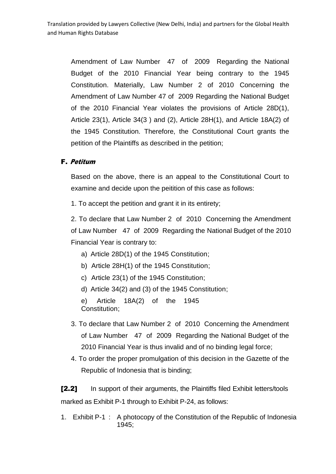Amendment of Law Number 47 of 2009 Regarding the National Budget of the 2010 Financial Year being contrary to the 1945 Constitution. Materially, Law Number 2 of 2010 Concerning the Amendment of Law Number 47 of 2009 Regarding the National Budget of the 2010 Financial Year violates the provisions of Article 28D(1), Article 23(1), Article 34(3 ) and (2), Article 28H(1), and Article 18A(2) of the 1945 Constitution. Therefore, the Constitutional Court grants the petition of the Plaintiffs as described in the petition;

## F. Petitum

Based on the above, there is an appeal to the Constitutional Court to examine and decide upon the peitition of this case as follows:

1. To accept the petition and grant it in its entirety;

2. To declare that Law Number 2 of 2010 Concerning the Amendment of Law Number 47 of 2009 Regarding the National Budget of the 2010 Financial Year is contrary to:

- a) Article 28D(1) of the 1945 Constitution;
- b) Article 28H(1) of the 1945 Constitution;
- c) Article 23(1) of the 1945 Constitution;
- d) Article 34(2) and (3) of the 1945 Constitution;

e) Article 18A(2) of the 1945 Constitution;

- 3. To declare that Law Number 2 of 2010 Concerning the Amendment of Law Number 47 of 2009 Regarding the National Budget of the 2010 Financial Year is thus invalid and of no binding legal force;
- 4. To order the proper promulgation of this decision in the Gazette of the Republic of Indonesia that is binding;

[2.2] In support of their arguments, the Plaintiffs filed Exhibit letters/tools marked as Exhibit P-1 through to Exhibit P-24, as follows:

1. Exhibit P-1 : A photocopy of the Constitution of the Republic of Indonesia 1945;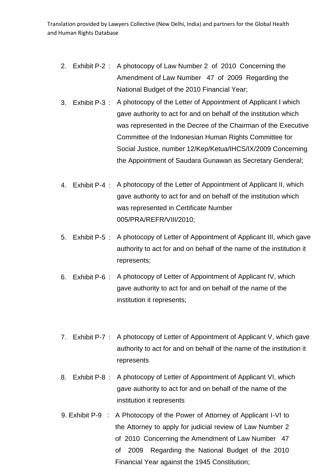- 2. Exhibit P-2 : A photocopy of Law Number 2 of 2010 Concerning the Amendment of Law Number 47 of 2009 Regarding the National Budget of the 2010 Financial Year;
- 3. Exhibit P-3 : A photocopy of the Letter of Appointment of Applicant I which gave authority to act for and on behalf of the institution which was represented in the Decree of the Chairman of the Executive Committee of the Indonesian Human Rights Committee for Social Justice, number 12/Kep/Ketua/IHCS/IX/2009 Concerning the Appointment of Saudara Gunawan as Secretary Genderal;
- 4. Exhibit P-4 : A photocopy of the Letter of Appointment of Applicant II, which gave authority to act for and on behalf of the institution which was represented in Certificate Number 005/PRA/REFR/VIII/2010;
- 5. Exhibit P-5 : A photocopy of Letter of Appointment of Applicant III, which gave authority to act for and on behalf of the name of the institution it represents;
- 6. Exhibit P-6 : A photocopy of Letter of Appointment of Applicant IV, which gave authority to act for and on behalf of the name of the institution it represents;
- 7. Exhibit P-7 : A photocopy of Letter of Appointment of Applicant V, which gave authority to act for and on behalf of the name of the institution it represents
- 8. Exhibit P-8 : A photocopy of Letter of Appointment of Applicant VI, which gave authority to act for and on behalf of the name of the institution it represents
- 9. Exhibit P-9 : A Photocopy of the Power of Attorney of Applicant I-VI to the Attorney to apply for judicial review of Law Number 2 of 2010 Concerning the Amendment of Law Number 47 of 2009 Regarding the National Budget of the 2010 Financial Year against the 1945 Constitution;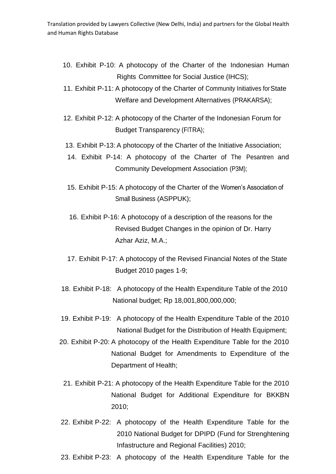- 10. Exhibit P-10: A photocopy of the Charter of the Indonesian Human Rights Committee for Social Justice (IHCS);
- 11. Exhibit P-11: A photocopy of the Charter of Community Initiatives forState Welfare and Development Alternatives (PRAKARSA);
- 12. Exhibit P-12: A photocopy of the Charter of the Indonesian Forum for Budget Transparency (FITRA);
- 13. Exhibit P-13: A photocopy of the Charter of the Initiative Association;
- 14. Exhibit P-14: A photocopy of the Charter of The Pesantren and Community Development Association (P3M);
- 15. Exhibit P-15: A photocopy of the Charter of the Women's Association of Small Business (ASPPUK);
- 16. Exhibit P-16: A photocopy of a description of the reasons for the Revised Budget Changes in the opinion of Dr. Harry Azhar Aziz, M.A.;
- 17. Exhibit P-17: A photocopy of the Revised Financial Notes of the State Budget 2010 pages 1-9;
- 18. Exhibit P-18: A photocopy of the Health Expenditure Table of the 2010 National budget; Rp 18,001,800,000,000;
- 19. Exhibit P-19: A photocopy of the Health Expenditure Table of the 2010 National Budget for the Distribution of Health Equipment;
- 20. Exhibit P-20: A photocopy of the Health Expenditure Table for the 2010 National Budget for Amendments to Expenditure of the Department of Health;
	- 21. Exhibit P-21: A photocopy of the Health Expenditure Table for the 2010 National Budget for Additional Expenditure for BKKBN 2010;
- 22. Exhibit P-22: A photocopy of the Health Expenditure Table for the 2010 National Budget for DPIPD (Fund for Strenghtening Infastructure and Regional Facilities) 2010;
- 23. Exhibit P-23: A photocopy of the Health Expenditure Table for the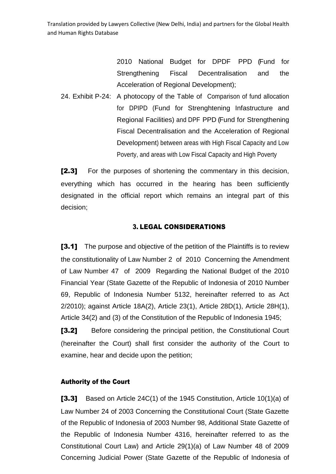> 2010 National Budget for DPDF PPD (Fund for Strengthening Fiscal Decentralisation and the Acceleration of Regional Development);

24. Exhibit P-24: A photocopy of the Table of Comparison of fund allocation for DPIPD (Fund for Strenghtening Infastructure and Regional Facilities) and DPF PPD (Fund for Strengthening Fiscal Decentralisation and the Acceleration of Regional Development) between areas with High Fiscal Capacity and Low Poverty, and areas with Low Fiscal Capacity and High Poverty

[2.3] For the purposes of shortening the commentary in this decision, everything which has occurred in the hearing has been sufficiently designated in the official report which remains an integral part of this decision;

#### 3. LEGAL CONSIDERATIONS

[3.1] The purpose and objective of the petition of the Plaintiffs is to review the constitutionality of Law Number 2 of 2010 Concerning the Amendment of Law Number 47 of 2009 Regarding the National Budget of the 2010 Financial Year (State Gazette of the Republic of Indonesia of 2010 Number 69, Republic of Indonesia Number 5132, hereinafter referred to as Act 2/2010); against Article 18A(2), Article 23(1), Article 28D(1), Article 28H(1), Article 34(2) and (3) of the Constitution of the Republic of Indonesia 1945;

[3.2] Before considering the principal petition, the Constitutional Court (hereinafter the Court) shall first consider the authority of the Court to examine, hear and decide upon the petition;

### Authority of the Court

[3.3] Based on Article 24C(1) of the 1945 Constitution, Article 10(1)(a) of Law Number 24 of 2003 Concerning the Constitutional Court (State Gazette of the Republic of Indonesia of 2003 Number 98, Additional State Gazette of the Republic of Indonesia Number 4316, hereinafter referred to as the Constitutional Court Law) and Article 29(1)(a) of Law Number 48 of 2009 Concerning Judicial Power (State Gazette of the Republic of Indonesia of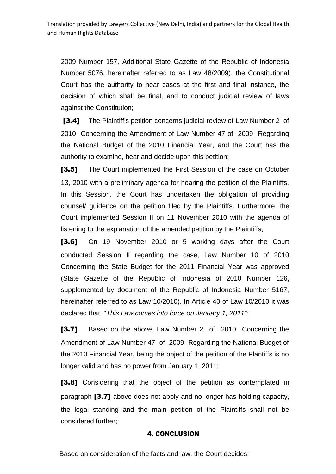2009 Number 157, Additional State Gazette of the Republic of Indonesia Number 5076, hereinafter referred to as Law 48/2009), the Constitutional Court has the authority to hear cases at the first and final instance, the decision of which shall be final, and to conduct judicial review of laws against the Constitution;

[3.4] The Plaintiff's petition concerns judicial review of Law Number 2 of 2010 Concerning the Amendment of Law Number 47 of 2009 Regarding the National Budget of the 2010 Financial Year, and the Court has the authority to examine, hear and decide upon this petition;

[3.5] The Court implemented the First Session of the case on October 13, 2010 with a preliminary agenda for hearing the petition of the Plaintiffs. In this Session, the Court has undertaken the obligation of providing counsel/ guidence on the petition filed by the Plaintiffs. Furthermore, the Court implemented Session II on 11 November 2010 with the agenda of listening to the explanation of the amended petition by the Plaintiffs;

[3.6] On 19 November 2010 or 5 working days after the Court conducted Session II regarding the case, Law Number 10 of 2010 Concerning the State Budget for the 2011 Financial Year was approved (State Gazette of the Republic of Indonesia of 2010 Number 126, supplemented by document of the Republic of Indonesia Number 5167, hereinafter referred to as Law 10/2010). In Article 40 of Law 10/2010 it was declared that, "*This Law comes into force on January 1, 2011*";

[3.7] Based on the above, Law Number 2 of 2010 Concerning the Amendment of Law Number 47 of 2009 Regarding the National Budget of the 2010 Financial Year, being the object of the petition of the Plantiffs is no longer valid and has no power from January 1, 2011;

[3.8] Considering that the object of the petition as contemplated in paragraph [3.7] above does not apply and no longer has holding capacity, the legal standing and the main petition of the Plaintiffs shall not be considered further;

### 4. CONCLUSION

Based on consideration of the facts and law, the Court decides: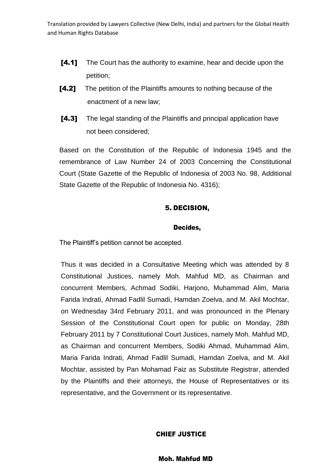- [4.1] The Court has the authority to examine, hear and decide upon the petition;
- **[4.2]** The petition of the Plaintiffs amounts to nothing because of the enactment of a new law;
- [4.3] The legal standing of the Plaintiffs and principal application have not been considered;

Based on the Constitution of the Republic of Indonesia 1945 and the remembrance of Law Number 24 of 2003 Concerning the Constitutional Court (State Gazette of the Republic of Indonesia of 2003 No. 98, Additional State Gazette of the Republic of Indonesia No. 4316);

### 5. DECISION,

#### Decides,

The Plaintiff's petition cannot be accepted.

Thus it was decided in a Consultative Meeting which was attended by 8 Constitutional Justices, namely Moh. Mahfud MD, as Chairman and concurrent Members, Achmad Sodiki, Harjono, Muhammad Alim, Maria Farida Indrati, Ahmad Fadlil Sumadi, Hamdan Zoelva, and M. Akil Mochtar, on Wednesday 34rd February 2011, and was pronounced in the Plenary Session of the Constitutional Court open for public on Monday, 28th February 2011 by 7 Constitutional Court Justices, namely Moh. Mahfud MD, as Chairman and concurrent Members, Sodiki Ahmad, Muhammad Alim, Maria Farida Indrati, Ahmad Fadlil Sumadi, Hamdan Zoelva, and M. Akil Mochtar, assisted by Pan Mohamad Faiz as Substitute Registrar, attended by the Plaintiffs and their attorneys, the House of Representatives or its representative, and the Government or its representative.

### CHIEF JUSTICE

Moh. Mahfud MD